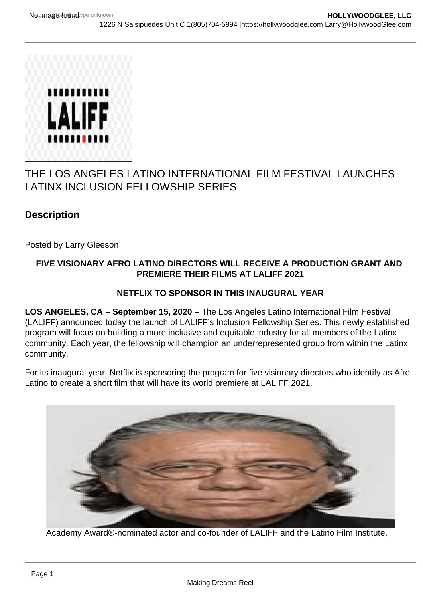## THE LOS ANGELES LATINO INTERNATIONAL FILM FESTIVAL LAUNCHES LATINX INCLUSION FELLOWSHIP SERIES

**Description** 

Posted by Larry Gleeson

## FIVE VISIONARY AFRO LATINO DIRECTORS WILL RECEIVE A PRODUCTION GRANT AND PREMIERE THEIR FILMS AT LALIFF 2021

## NETFLIX TO SPONSOR IN THIS INAUGURAL YEAR

LOS ANGELES, CA – September 15, 2020 – The Los Angeles Latino International Film Festival (LALIFF) announced today the launch of LALIFF's Inclusion Fellowship Series. This newly established program will focus on building a more inclusive and equitable industry for all members of the Latinx community. Each year, the fellowship will champion an underrepresented group from within the Latinx community.

For its inaugural year, Netflix is sponsoring the program for five visionary directors who identify as Afro Latino to create a short film that will have its world premiere at LALIFF 2021.

Academy Award®-nominated actor and co-founder of LALIFF and the Latino Film Institute,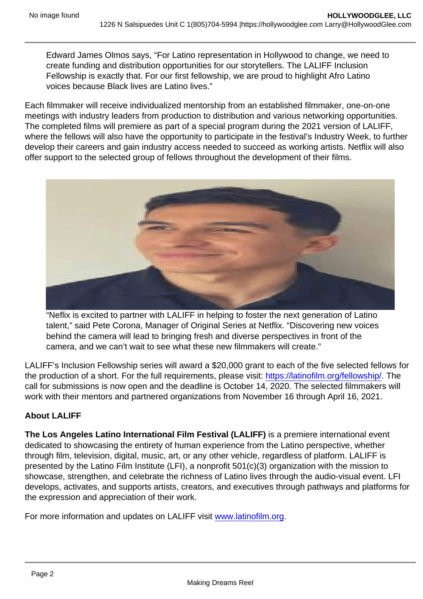Edward James Olmos says, "For Latino representation in Hollywood to change, we need to create funding and distribution opportunities for our storytellers. The LALIFF Inclusion Fellowship is exactly that. For our first fellowship, we are proud to highlight Afro Latino voices because Black lives are Latino lives."

Each filmmaker will receive individualized mentorship from an established filmmaker, one-on-one meetings with industry leaders from production to distribution and various networking opportunities. The completed films will premiere as part of a special program during the 2021 version of LALIFF, where the fellows will also have the opportunity to participate in the festival's Industry Week, to further develop their careers and gain industry access needed to succeed as working artists. Netflix will also offer support to the selected group of fellows throughout the development of their films.

"Neflix is excited to partner with LALIFF in helping to foster the next generation of Latino talent," said Pete Corona, Manager of Original Series at Netflix. "Discovering new voices behind the camera will lead to bringing fresh and diverse perspectives in front of the camera, and we can't wait to see what these new filmmakers will create."

LALIFF's Inclusion Fellowship series will award a \$20,000 grant to each of the five selected fellows for the production of a short. For the full requirements, please visit: <https://latinofilm.org/fellowship/>. The call for submissions is now open and the deadline is October 14, 2020. The selected filmmakers will work with their mentors and partnered organizations from November 16 through April 16, 2021.

## About LALIFF

The Los Angeles Latino International Film Festival (LALIFF) is a premiere international event dedicated to showcasing the entirety of human experience from the Latino perspective, whether through film, television, digital, music, art, or any other vehicle, regardless of platform. LALIFF is presented by the Latino Film Institute (LFI), a nonprofit 501(c)(3) organization with the mission to showcase, strengthen, and celebrate the richness of Latino lives through the audio-visual event. LFI develops, activates, and supports artists, creators, and executives through pathways and platforms for the expression and appreciation of their work.

For more information and updates on LALIFF visit [www.latinofilm.org.](http://www.latinofilm.org/)